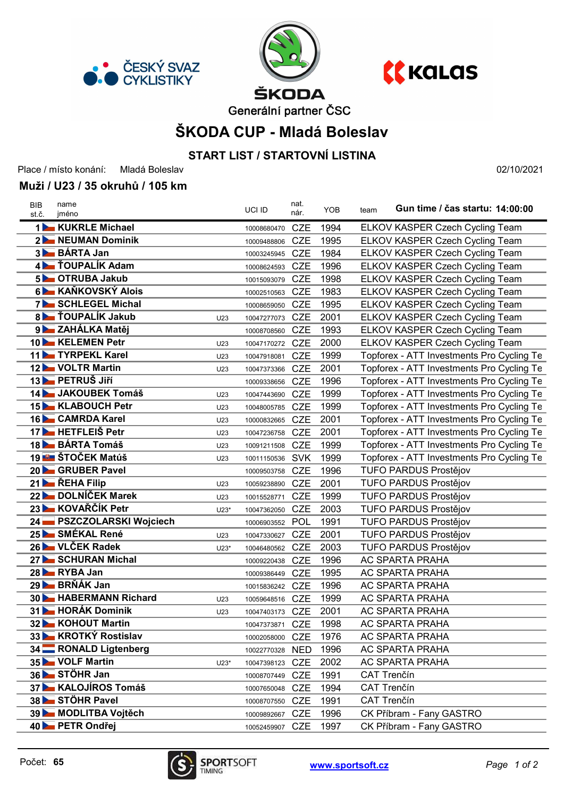





Generální partner ČSC

## ŠKODA CUP - Mladá Boleslav

### START LIST / STARTOVNÍ LISTINA

Place / místo konání: Mladá Boleslav

#### Muži / U23 / 35 okruhů / 105 km

st.č. jméno Gun time / čas startu: 14:00:00 BIB name UCI ID team nat. nár. YOB 1 KUKRLE Michael 10008680470 CZE 1994 ELKOV KASPER Czech Cycling Team 2 NEUMAN Dominik 10009488806 CZE 1995 ELKOV KASPER Czech Cycling Team 3 BÁRTA Jan 10003245945 CZE 1984 ELKOV KASPER Czech Cycling Team 4 **TOUPALIK Adam** 10008624593 CZE 1996 ELKOV KASPER Czech Cycling Team 5 OTRUBA Jakub 10015093079 CZE 1998 ELKOV KASPER Czech Cycling Team 6 KAŇKOVSKÝ Alois 10002510563 CZE 1983 ELKOV KASPER Czech Cycling Team 7 SCHLEGEL Michal 10008659050 CZE 1995 ELKOV KASPER Czech Cycling Team 8 **TOUPALIK Jakub** U23 10047277073 CZE 2001 ELKOV KASPER Czech Cycling Team 9 ZAHÁLKA Matěj **10008708560 CZE 1993** ELKOV KASPER Czech Cycling Team 10 KELEMEN Petr **U23** 10047170272 CZE 2000 ELKOV KASPER Czech Cycling Team 11 TYRPEKL Karel U23 10047918081 CZE 1999 Topforex - ATT Investments Pro Cycling Te 12 VOLTR Martin 12 VOLTR Martin 12 Voltage 10047373366 CZE 2001 Topforex - ATT Investments Pro Cycling Te 13 PETRUŠ Jiří 10009338656 CZE 1996 Topforex - ATT Investments Pro Cycling Te 14 JAKOUBEK Tomáš verse verse verse 10047443690 CZE 1999 Topforex - ATT Investments Pro Cycling Te 15 KLABOUCH Petr versus versus versus versus contracts CZE 1999 Topforex - ATT Investments Pro Cycling Te 16 CAMRDA Karel U23 10000832665 CZE 2001 Topforex - ATT Investments Pro Cycling Te 17 **HETFLEIS Petr** U23 10047236758 CZE 2001 Topforex - ATT Investments Pro Cycling Te 18 BÁRTA Tomáš U23 10091211508 CZE 1999 Topforex - ATT Investments Pro Cycling Te 19 **STOČEK Matúš** U23 10011150536 SVK 1999 Topforex - ATT Investments Pro Cycling Te 20 GRUBER Pavel 10009503758 CZE 1996 TUFO PARDUS Prostějov 21 ŘEHA Filip V23 10059238890 CZE 2001 TUFO PARDUS Prostějov 22 DOLNÍČEK Marek U23 10015528771 CZE 1999 TUFO PARDUS Prostějov 23 KOVAŘČÍK Petr U23<sup>\*</sup> 10047362050 CZE 2003 TUFO PARDUS Prostějov 24 PSZCZOLARSKI Wojciech 10006903552 POL 1991 TUFO PARDUS Prostějov 25 SMÉKAL René U23 10047330627 CZE 2001 TUFO PARDUS Prostějov 26 VLČEK Radek U23<sup>\*</sup> 10046480562 CZE 2003 TUFO PARDUS Prostějov 27 SCHURAN Michal 10009220438 CZE 1996 AC SPARTA PRAHA 28 RYBA Jan 28 RYBA Jan 20009386449 CZE 1995 AC SPARTA PRAHA 29 BRŇÁK Jan 10015836242 CZE 1996 AC SPARTA PRAHA 30 HABERMANN Richard U23 <sup>10059648516</sup> CZE 1999 AC SPARTA PRAHA 31 HORÁK Dominik U23 <sup>10047403173</sup> CZE 2001 AC SPARTA PRAHA 32 KOHOUT Martin 10047373871 CZE 1998 AC SPARTA PRAHA 33 KROTKÝ Rostislav 10002058000 CZE 1976 AC SPARTA PRAHA 34 RONALD Ligtenberg 10022770328 NED 1996 AC SPARTA PRAHA 35 VOLF Martin U23\* <sup>10047398123</sup> CZE 2002 AC SPARTA PRAHA 36 STÖHR Jan <sup>10008707449</sup> CZE 1991 CAT Trenčín 37 KALOJÍROS Tomáš 10007650048 CZE 1994 CAT Trenčín 38 STÖHR Pavel 10008707550 CZE 1991 CAT Trenčín 39 MODLITBA Vojtěch 10009892667 CZE 1996 CK Příbram - Fany GASTRO 40 PETR Ondřej 10052459907 CZE 1997 CK Příbram - Fany GASTRO



02/10/2021